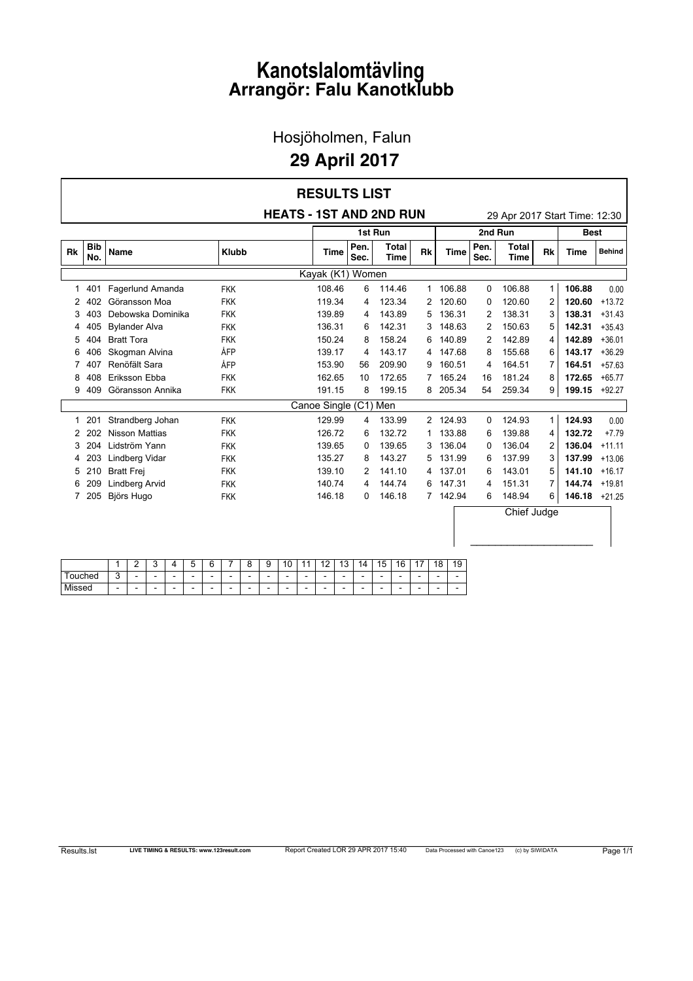Hosjöholmen, Falun

#### **29 April 2017**

|                       | <b>RESULTS LIST</b> |                       |                                |                  |              |           |                       |              |                             |                               |                |                  |          |  |  |
|-----------------------|---------------------|-----------------------|--------------------------------|------------------|--------------|-----------|-----------------------|--------------|-----------------------------|-------------------------------|----------------|------------------|----------|--|--|
|                       |                     |                       | <b>HEATS - 1ST AND 2ND RUN</b> |                  |              |           |                       |              |                             | 29 Apr 2017 Start Time: 12:30 |                |                  |          |  |  |
|                       |                     |                       |                                |                  |              | 1st Run   |                       |              | 2nd Run                     | <b>Best</b>                   |                |                  |          |  |  |
| <b>Rk</b>             | <b>Bib</b><br>No.   | <b>Name</b>           | <b>Klubb</b>                   | <b>Time</b>      | Pen.<br>Sec. | <b>Rk</b> | <b>Time</b>           | Pen.<br>Sec. | <b>Total</b><br><b>Time</b> | <b>Rk</b>                     | <b>Time</b>    | <b>Behind</b>    |          |  |  |
|                       |                     |                       |                                | Kayak (K1) Women |              |           |                       |              |                             |                               |                |                  |          |  |  |
| $\mathbf{1}$          | 401                 | Fagerlund Amanda      | <b>FKK</b>                     | 108.46           | 6            | 114.46    |                       | 1 106.88     | 0                           | 106.88                        | $\mathbf{1}$   | 106.88           | 0.00     |  |  |
| 2                     | 402                 | Göransson Moa         | <b>FKK</b>                     | 119.34           | 4            | 123.34    | $\mathbf{2}^{\prime}$ | 120.60       | 0                           | 120.60                        | 2              | 120.60           | $+13.72$ |  |  |
| 3                     | 403                 | Debowska Dominika     | <b>FKK</b>                     | 139.89           | 4            | 143.89    | 5                     | 136.31       | 2                           | 138.31                        | 3              | 138.31           | $+31.43$ |  |  |
| 4                     | 405                 | <b>Bylander Alva</b>  | <b>FKK</b>                     | 136.31           | 6            | 142.31    | 3                     | 148.63       | 2                           | 150.63                        | 5              | 142.31           | $+35.43$ |  |  |
| 5                     | 404                 | <b>Bratt Tora</b>     | <b>FKK</b>                     | 150.24           | 8            | 158.24    | 6                     | 140.89       | 2                           | 142.89                        | 4              | 142.89           | $+36.01$ |  |  |
| 6                     | 406                 | Skogman Alvina        | ÅFP                            | 139.17           | 4            | 143.17    | 4                     | 147.68       | 8                           | 155.68                        | 6              | 143.17           | $+36.29$ |  |  |
| 7                     | 407                 | Renöfält Sara         | ÅFP                            | 153.90           | 56           | 209.90    | 9                     | 160.51       | 4                           | 164.51                        | 7              | 164.51           | $+57.63$ |  |  |
| 8                     | 408                 | Eriksson Ebba         | <b>FKK</b>                     | 162.65           | 10           | 172.65    | $7^{\circ}$           | 165.24       | 16                          | 181.24                        | 8              | 172.65           | $+65.77$ |  |  |
| 9                     | 409                 | Göransson Annika      | <b>FKK</b>                     | 191.15           | 8            | 199.15    | 8                     | 205.34       | 54                          | 259.34                        | 9              | 199.15           | $+92.27$ |  |  |
| Canoe Single (C1) Men |                     |                       |                                |                  |              |           |                       |              |                             |                               |                |                  |          |  |  |
| 1                     | 201                 | Strandberg Johan      | <b>FKK</b>                     | 129.99           | 4            | 133.99    |                       | 2 124.93     | 0                           | 124.93                        | $\mathbf{1}$   | 124.93           | 0.00     |  |  |
| 2                     | 202                 | <b>Nisson Mattias</b> | <b>FKK</b>                     | 126.72           | 6            | 132.72    | 1                     | 133.88       | 6                           | 139.88                        | 4              | 132.72           | $+7.79$  |  |  |
| 3                     | 204                 | Lidström Yann         | <b>FKK</b>                     | 139.65           | 0            | 139.65    | 3                     | 136.04       | 0                           | 136.04                        | $\overline{2}$ | 136.04           | $+11.11$ |  |  |
| 4                     | 203                 | Lindberg Vidar        | <b>FKK</b>                     | 135.27           | 8            | 143.27    | 5                     | 131.99       | 6                           | 137.99                        | 3              | 137.99           | $+13.06$ |  |  |
| 5                     | 210                 | <b>Bratt Frei</b>     | <b>FKK</b>                     | 139.10           | 2            | 141.10    | 4                     | 137.01       | 6                           | 143.01                        | 5              | 141.10           | $+16.17$ |  |  |
| 6                     | 209                 | Lindberg Arvid        | <b>FKK</b>                     | 140.74           | 4            | 144.74    | 6                     | 147.31       | 4                           | 151.31                        | $\overline{7}$ | 144.74           | $+19.81$ |  |  |
| $7^{\circ}$           | 205                 | Björs Hugo            | <b>FKK</b>                     | 146.18           | 0            | 146.18    |                       | 7 142.94     | 6                           | 148.94                        | 6              | $146.18 + 21.25$ |          |  |  |
|                       |                     |                       |                                |                  |              |           |                       |              |                             | Chief Judge                   |                |                  |          |  |  |

|        |        | -<br>- | -<br>ີ | . . | -<br>∽<br> | ⌒ | - | - | 0                        | $\overline{a}$<br>U | -4                       | $\overline{a}$ | $\overline{a}$<br>u | 14 | 15<br>$\overline{\phantom{a}}$ | 16<br>` | $\rightarrow$ | 18 | 19 |
|--------|--------|--------|--------|-----|------------|---|---|---|--------------------------|---------------------|--------------------------|----------------|---------------------|----|--------------------------------|---------|---------------|----|----|
| ouched | ⌒<br>ັ | -      | -      | -   | -          | - | - | - | $\overline{\phantom{0}}$ | -                   | -                        | -              | -                   | -  | -                              | -       | -             | -  | -  |
| Missed | -      | -      | -      | -   | -          | - | - | - | $\overline{\phantom{0}}$ | -                   | $\overline{\phantom{0}}$ | -              | -                   | -  | -                              | -       | -             | -  | -  |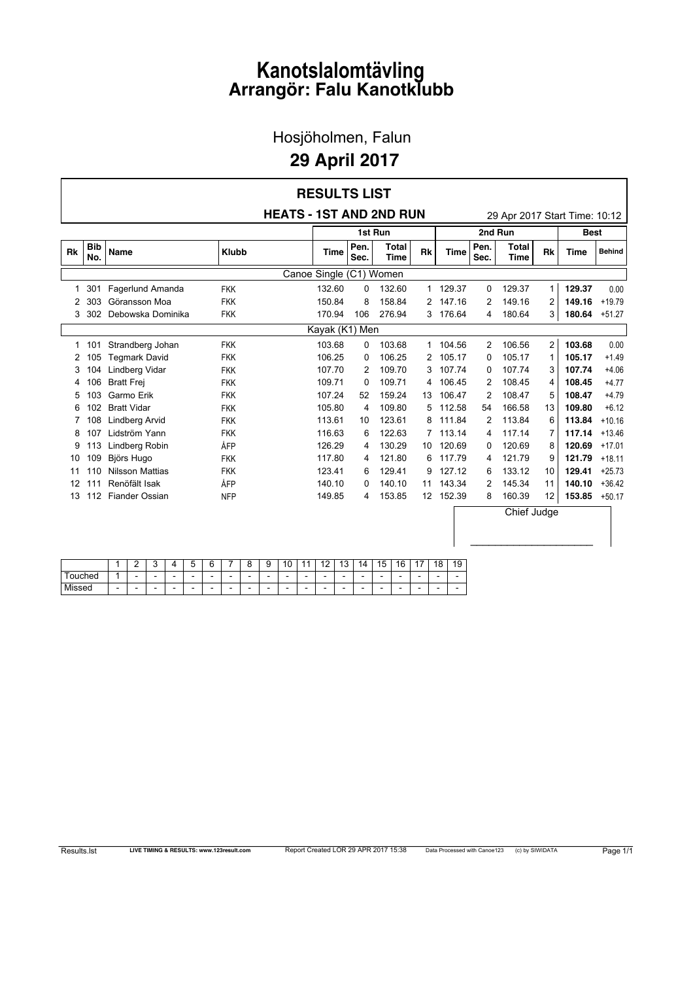Hosjöholmen, Falun

#### **29 April 2017**

| <b>RESULTS LIST</b> |            |                        |              |                                |              |                      |                      |             |                |                               |                |             |               |  |
|---------------------|------------|------------------------|--------------|--------------------------------|--------------|----------------------|----------------------|-------------|----------------|-------------------------------|----------------|-------------|---------------|--|
|                     |            |                        |              | <b>HEATS - 1ST AND 2ND RUN</b> |              |                      |                      |             |                | 29 Apr 2017 Start Time: 10:12 |                |             |               |  |
|                     |            |                        |              | 2nd Run                        |              | <b>Best</b>          |                      |             |                |                               |                |             |               |  |
| <b>Rk</b>           | Bib<br>No. | <b>Name</b>            | <b>Klubb</b> | <b>Time</b>                    | Pen.<br>Sec. | <b>Total</b><br>Time | <b>Rk</b>            | <b>Time</b> | Pen.<br>Sec.   | <b>Total</b><br>Time          | <b>Rk</b>      | <b>Time</b> | <b>Behind</b> |  |
|                     |            |                        |              |                                |              |                      |                      |             |                |                               |                |             |               |  |
| 1                   | 301        | Fagerlund Amanda       | <b>FKK</b>   | 132.60                         | 0            | 132.60               | $\mathbf{1}$         | 129.37      | 0              | 129.37                        | 1              | 129.37      | 0.00          |  |
| 2                   | 303        | Göransson Moa          | <b>FKK</b>   | 150.84                         | 8            | 158.84               | $\mathbf{2}$         | 147.16      | 2              | 149.16                        | 2              | 149.16      | $+19.79$      |  |
| 3                   | 302        | Debowska Dominika      | <b>FKK</b>   | 170.94                         | 106          | 276.94               | 3                    | 176.64      | 4              | 180.64                        | 3              | 180.64      | $+51.27$      |  |
|                     |            |                        |              |                                |              |                      |                      |             |                |                               |                |             |               |  |
|                     | 1 101      | Strandberg Johan       | <b>FKK</b>   | 103.68                         | 0            | 103.68               |                      | 1 104.56    | $\overline{2}$ | 106.56                        | $\overline{2}$ | 103.68      | 0.00          |  |
| 2                   | 105        | <b>Tegmark David</b>   | <b>FKK</b>   | 106.25                         | 0            | 106.25               | $\mathbf{2}^{\circ}$ | 105.17      | 0              | 105.17                        | 1              | 105.17      | $+1.49$       |  |
| 3                   | 104        | Lindberg Vidar         | <b>FKK</b>   | 107.70                         | 2            | 109.70               | 3                    | 107.74      | 0              | 107.74                        | 3              | 107.74      | $+4.06$       |  |
| 4                   | 106        | <b>Bratt Frei</b>      | <b>FKK</b>   | 109.71                         | 0            | 109.71               | 4                    | 106.45      | 2              | 108.45                        | 4              | 108.45      | $+4.77$       |  |
| 5                   | 103        | Garmo Erik             | <b>FKK</b>   | 107.24                         | 52           | 159.24               | 13                   | 106.47      | 2              | 108.47                        | 5              | 108.47      | $+4.79$       |  |
| 6                   | 102        | <b>Bratt Vidar</b>     | <b>FKK</b>   | 105.80                         | 4            | 109.80               | 5                    | 112.58      | 54             | 166.58                        | 13             | 109.80      | $+6.12$       |  |
| 7                   | 108        | <b>Lindberg Arvid</b>  | <b>FKK</b>   | 113.61                         | 10           | 123.61               | 8                    | 111.84      | 2              | 113.84                        | 6              | 113.84      | $+10.16$      |  |
| 8                   | 107        | Lidström Yann          | <b>FKK</b>   | 116.63                         | 6            | 122.63               | $\overline{7}$       | 113.14      | 4              | 117.14                        | 7              | 117.14      | $+13.46$      |  |
| 9                   | 113        | Lindberg Robin         | ÅFP          | 126.29                         | 4            | 130.29               | 10                   | 120.69      | 0              | 120.69                        | 8              | 120.69      | $+17.01$      |  |
| 10                  | 109        | Björs Hugo             | <b>FKK</b>   | 117.80                         | 4            | 121.80               | 6                    | 117.79      | 4              | 121.79                        | 9              | 121.79      | $+18.11$      |  |
| 11                  | 110        | <b>Nilsson Mattias</b> | <b>FKK</b>   | 123.41                         | 6            | 129.41               | 9                    | 127.12      | 6              | 133.12                        | 10             | 129.41      | $+25.73$      |  |
| 12                  | 111        | Renöfält Isak          | ÅFP          | 140.10                         | 0            | 140.10               | 11                   | 143.34      | 2              | 145.34                        | 11             | 140.10      | $+36.42$      |  |
| 13                  | 112        | <b>Fiander Ossian</b>  | <b>NFP</b>   | 149.85                         | 4            | 153.85               | 12 <sup>12</sup>     | 152.39      | 8              | 160.39                        | 12             | 153.85      | $+50.17$      |  |
|                     |            |                        |              |                                | Chief Judge  |                      |                      |             |                |                               |                |             |               |  |

|        |   | - | u |   | ∽<br>                    | $\sim$ | - | - | ັ<br>ū | $\overline{A}$<br>ں ، | ٠<br>◢ | $\overline{a}$ | $\overline{a}$<br>u | 14 | 15<br>N | 16<br>۰. | $\rightarrow$            | 18<br>u | 19 |
|--------|---|---|---|---|--------------------------|--------|---|---|--------|-----------------------|--------|----------------|---------------------|----|---------|----------|--------------------------|---------|----|
| ouched |   | - | - | - | $\overline{\phantom{0}}$ | -      | - | - | -      | -                     | -      | -              | -                   | -  | -       | -        | $\overline{\phantom{0}}$ | -       | -  |
| Missed | - | - | - | - | $\overline{\phantom{0}}$ | -      | - | - | -      | -                     | -      | -              | -                   | -  | -       | -        | $\overline{\phantom{0}}$ | -       | -  |

Г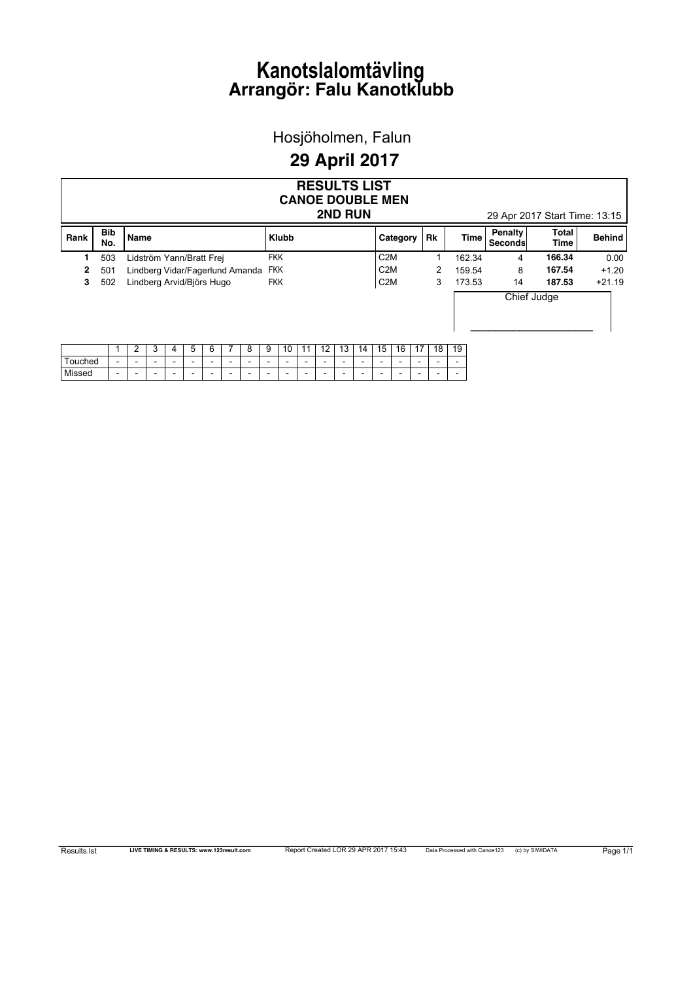Hosjöholmen, Falun

#### **29 April 2017**

|                                          | <b>RESULTS LIST</b><br><b>CANOE DOUBLE MEN</b> |                          |                          |                           |                          |                          |                          |                                 |                          |                          |                          |    |                          |    |                          |                |                          |             |                          |                      |               |         |
|------------------------------------------|------------------------------------------------|--------------------------|--------------------------|---------------------------|--------------------------|--------------------------|--------------------------|---------------------------------|--------------------------|--------------------------|--------------------------|----|--------------------------|----|--------------------------|----------------|--------------------------|-------------|--------------------------|----------------------|---------------|---------|
| 2ND RUN<br>29 Apr 2017 Start Time: 13:15 |                                                |                          |                          |                           |                          |                          |                          |                                 |                          |                          |                          |    |                          |    |                          |                |                          |             |                          |                      |               |         |
| Rank                                     | <b>Bib</b><br>No.                              | <b>Name</b>              |                          |                           |                          |                          |                          |                                 |                          | <b>Klubb</b>             |                          |    |                          |    |                          | Rk<br>Category |                          | <b>Time</b> | Penalty<br>Seconds       | Total<br><b>Time</b> | <b>Behind</b> |         |
|                                          | 503                                            |                          |                          | Lidström Yann/Bratt Frei  |                          |                          |                          |                                 | <b>FKK</b>               |                          |                          |    |                          |    | C <sub>2</sub> M         |                |                          |             | 162.34                   | 4                    | 166.34        | 0.00    |
| $\mathbf{2}$                             | 501                                            |                          |                          |                           |                          |                          |                          | Lindberg Vidar/Fagerlund Amanda | <b>FKK</b>               |                          |                          |    |                          |    | C <sub>2</sub> M<br>2    |                |                          |             | 159.54                   | 8                    | 167.54        | $+1.20$ |
| 3                                        | 502                                            |                          |                          | Lindberg Arvid/Björs Hugo |                          |                          |                          |                                 | <b>FKK</b>               |                          |                          |    |                          |    | C <sub>2</sub> M<br>3    |                |                          | 173.53      | 14                       | 187.53               | $+21.19$      |         |
|                                          |                                                |                          |                          |                           |                          |                          |                          |                                 |                          |                          |                          |    | Chief Judge              |    |                          |                |                          |             |                          |                      |               |         |
|                                          |                                                | 2                        | 3                        | 4                         | 5                        | 6                        |                          | 8                               | 9                        | 10                       | 11                       | 12 | 13                       | 14 | 15                       | 16             | 17                       | 18          | 19                       |                      |               |         |
| Touched                                  | $\overline{\phantom{0}}$                       | $\overline{\phantom{a}}$ | $\overline{\phantom{0}}$ | $\overline{\phantom{0}}$  | $\overline{\phantom{0}}$ | $\overline{\phantom{0}}$ | $\overline{\phantom{0}}$ | $\overline{\phantom{0}}$        | $\overline{\phantom{a}}$ | $\overline{\phantom{0}}$ | $\overline{\phantom{0}}$ |    | $\overline{\phantom{0}}$ |    | $\overline{\phantom{0}}$ |                | $\overline{\phantom{0}}$ |             | $\overline{\phantom{a}}$ |                      |               |         |
| Missed                                   |                                                |                          |                          |                           |                          |                          | $\overline{\phantom{0}}$ |                                 | $\overline{\phantom{0}}$ |                          |                          |    |                          |    | -                        |                |                          |             | -                        |                      |               |         |